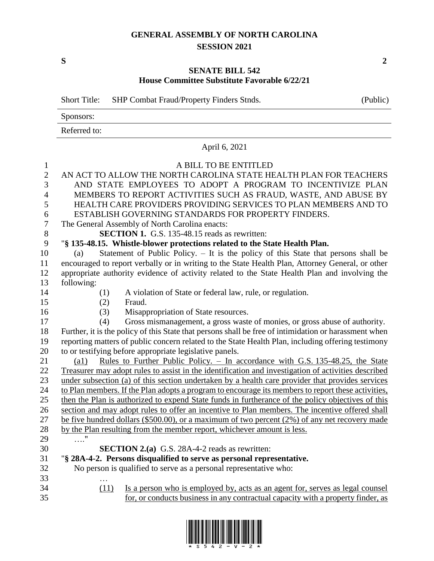## **GENERAL ASSEMBLY OF NORTH CAROLINA SESSION 2021**

**S 2**

## **SENATE BILL 542 House Committee Substitute Favorable 6/22/21**

|                | <b>Short Title:</b><br>SHP Combat Fraud/Property Finders Stnds.                                             |  |  |  |  |
|----------------|-------------------------------------------------------------------------------------------------------------|--|--|--|--|
|                | Sponsors:                                                                                                   |  |  |  |  |
|                | Referred to:                                                                                                |  |  |  |  |
|                | April 6, 2021                                                                                               |  |  |  |  |
| $\mathbf{1}$   | A BILL TO BE ENTITLED                                                                                       |  |  |  |  |
| $\overline{2}$ | AN ACT TO ALLOW THE NORTH CAROLINA STATE HEALTH PLAN FOR TEACHERS                                           |  |  |  |  |
| 3              | AND STATE EMPLOYEES TO ADOPT A PROGRAM TO INCENTIVIZE PLAN                                                  |  |  |  |  |
| $\overline{4}$ | MEMBERS TO REPORT ACTIVITIES SUCH AS FRAUD, WASTE, AND ABUSE BY                                             |  |  |  |  |
| 5              | HEALTH CARE PROVIDERS PROVIDING SERVICES TO PLAN MEMBERS AND TO                                             |  |  |  |  |
| 6              | ESTABLISH GOVERNING STANDARDS FOR PROPERTY FINDERS.                                                         |  |  |  |  |
| $\tau$         | The General Assembly of North Carolina enacts:                                                              |  |  |  |  |
| $8\,$          | <b>SECTION 1.</b> G.S. 135-48.15 reads as rewritten:                                                        |  |  |  |  |
| 9              | "§ 135-48.15. Whistle-blower protections related to the State Health Plan.                                  |  |  |  |  |
| 10             | Statement of Public Policy. - It is the policy of this State that persons shall be<br>(a)                   |  |  |  |  |
| 11             | encouraged to report verbally or in writing to the State Health Plan, Attorney General, or other            |  |  |  |  |
| 12             | appropriate authority evidence of activity related to the State Health Plan and involving the               |  |  |  |  |
| 13             | following:                                                                                                  |  |  |  |  |
| 14             | A violation of State or federal law, rule, or regulation.<br>(1)                                            |  |  |  |  |
| 15             | Fraud.<br>(2)                                                                                               |  |  |  |  |
| 16             | Misappropriation of State resources.<br>(3)                                                                 |  |  |  |  |
| 17             | Gross mismanagement, a gross waste of monies, or gross abuse of authority.<br>(4)                           |  |  |  |  |
| 18             | Further, it is the policy of this State that persons shall be free of intimidation or harassment when       |  |  |  |  |
| 19             | reporting matters of public concern related to the State Health Plan, including offering testimony          |  |  |  |  |
| 20             | to or testifying before appropriate legislative panels.                                                     |  |  |  |  |
| 21             | <u>Rules to Further Public Policy. – In accordance with G.S. 135-48.25, the State</u><br>$\left( a1\right)$ |  |  |  |  |
| 22             | Treasurer may adopt rules to assist in the identification and investigation of activities described         |  |  |  |  |
| 23             | under subsection (a) of this section undertaken by a health care provider that provides services            |  |  |  |  |
| 24             | to Plan members. If the Plan adopts a program to encourage its members to report these activities,          |  |  |  |  |
| 25             | then the Plan is authorized to expend State funds in furtherance of the policy objectives of this           |  |  |  |  |
| 26             | section and may adopt rules to offer an incentive to Plan members. The incentive offered shall              |  |  |  |  |
| 27             | be five hundred dollars (\$500.00), or a maximum of two percent $(2%)$ of any net recovery made             |  |  |  |  |
| 28             | by the Plan resulting from the member report, whichever amount is less.                                     |  |  |  |  |
| 29             | $\ldots \overset{0}{\cdot}$                                                                                 |  |  |  |  |
| 30             | <b>SECTION 2.(a)</b> G.S. 28A-4-2 reads as rewritten:                                                       |  |  |  |  |
| 31             | "\\$ 28A-4-2. Persons disqualified to serve as personal representative.                                     |  |  |  |  |
| 32             | No person is qualified to serve as a personal representative who:                                           |  |  |  |  |
| 33             |                                                                                                             |  |  |  |  |
| 34             | (11)<br>Is a person who is employed by, acts as an agent for, serves as legal counsel                       |  |  |  |  |
| 35             | for, or conducts business in any contractual capacity with a property finder, as                            |  |  |  |  |

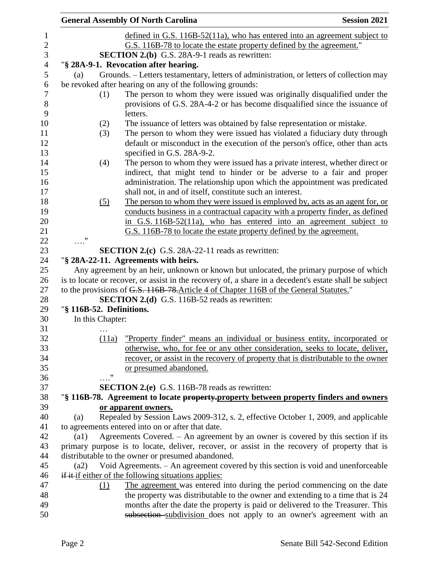|                          | <b>General Assembly Of North Carolina</b>                                                                    | <b>Session 2021</b> |
|--------------------------|--------------------------------------------------------------------------------------------------------------|---------------------|
|                          | defined in G.S. $116B-52(11a)$ , who has entered into an agreement subject to                                |                     |
|                          | G.S. 116B-78 to locate the estate property defined by the agreement."                                        |                     |
|                          | <b>SECTION 2.(b)</b> G.S. 28A-9-1 reads as rewritten:                                                        |                     |
|                          | "§ 28A-9-1. Revocation after hearing.                                                                        |                     |
| (a)                      | Grounds. - Letters testamentary, letters of administration, or letters of collection may                     |                     |
|                          | be revoked after hearing on any of the following grounds:                                                    |                     |
| (1)                      | The person to whom they were issued was originally disqualified under the                                    |                     |
|                          | provisions of G.S. 28A-4-2 or has become disqualified since the issuance of                                  |                     |
|                          | letters.                                                                                                     |                     |
| (2)                      | The issuance of letters was obtained by false representation or mistake.                                     |                     |
| (3)                      | The person to whom they were issued has violated a fiduciary duty through                                    |                     |
|                          | default or misconduct in the execution of the person's office, other than acts<br>specified in G.S. 28A-9-2. |                     |
| (4)                      | The person to whom they were issued has a private interest, whether direct or                                |                     |
|                          | indirect, that might tend to hinder or be adverse to a fair and proper                                       |                     |
|                          | administration. The relationship upon which the appointment was predicated                                   |                     |
|                          | shall not, in and of itself, constitute such an interest.                                                    |                     |
| (5)                      | The person to whom they were issued is employed by, acts as an agent for, or                                 |                     |
|                          | conducts business in a contractual capacity with a property finder, as defined                               |                     |
|                          | in G.S. 116B-52(11a), who has entered into an agreement subject to                                           |                     |
|                          | G.S. 116B-78 to locate the estate property defined by the agreement.                                         |                     |
| $\ldots$ "               |                                                                                                              |                     |
|                          | <b>SECTION 2.(c)</b> G.S. 28A-22-11 reads as rewritten:                                                      |                     |
|                          | "§ 28A-22-11. Agreements with heirs.                                                                         |                     |
|                          | Any agreement by an heir, unknown or known but unlocated, the primary purpose of which                       |                     |
|                          | is to locate or recover, or assist in the recovery of, a share in a decedent's estate shall be subject       |                     |
|                          | to the provisions of G.S. 116B 78. Article 4 of Chapter 116B of the General Statutes."                       |                     |
|                          | <b>SECTION 2.(d)</b> G.S. 116B-52 reads as rewritten:                                                        |                     |
| "§ 116B-52. Definitions. |                                                                                                              |                     |
| In this Chapter:         |                                                                                                              |                     |
|                          |                                                                                                              |                     |
| (11a)                    | "Property finder" means an individual or business entity, incorporated or                                    |                     |
|                          | otherwise, who, for fee or any other consideration, seeks to locate, deliver,                                |                     |
|                          | recover, or assist in the recovery of property that is distributable to the owner                            |                     |
| $^{\prime\prime}$        | or presumed abandoned.                                                                                       |                     |
|                          | <b>SECTION 2.(e)</b> G.S. 116B-78 reads as rewritten:                                                        |                     |
|                          | "§ 116B-78. Agreement to locate property-property between property finders and owners                        |                     |
|                          | or apparent owners.                                                                                          |                     |
| (a)                      | Repealed by Session Laws 2009-312, s. 2, effective October 1, 2009, and applicable                           |                     |
|                          | to agreements entered into on or after that date.                                                            |                     |
| $\left( a1\right)$       | Agreements Covered. $-$ An agreement by an owner is covered by this section if its                           |                     |
|                          | primary purpose is to locate, deliver, recover, or assist in the recovery of property that is                |                     |
|                          | distributable to the owner or presumed abandoned.                                                            |                     |
| (a2)                     | Void Agreements. - An agreement covered by this section is void and unenforceable                            |                     |
|                          | if it if either of the following situations applies:                                                         |                     |
| (1)                      | The agreement was entered into during the period commencing on the date                                      |                     |
|                          | the property was distributable to the owner and extending to a time that is 24                               |                     |
|                          | months after the date the property is paid or delivered to the Treasurer. This                               |                     |
|                          | subsection subdivision does not apply to an owner's agreement with an                                        |                     |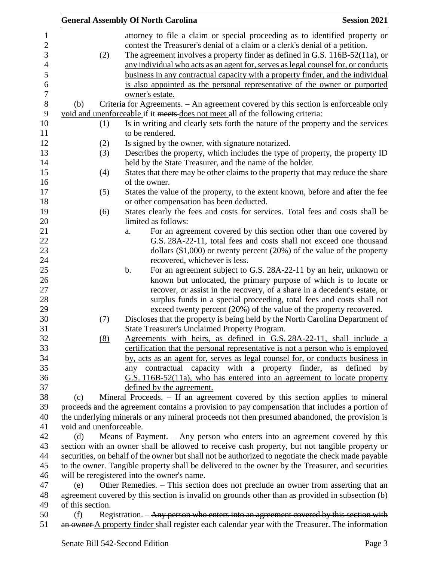|                     |                                                                                                                      | <b>General Assembly Of North Carolina</b><br><b>Session 2021</b>                                                                                                         |  |  |
|---------------------|----------------------------------------------------------------------------------------------------------------------|--------------------------------------------------------------------------------------------------------------------------------------------------------------------------|--|--|
| 1<br>$\overline{c}$ |                                                                                                                      | attorney to file a claim or special proceeding as to identified property or<br>contest the Treasurer's denial of a claim or a clerk's denial of a petition.              |  |  |
| 3<br>$\overline{4}$ | (2)                                                                                                                  | <u>The agreement involves a property finder as defined in G.S. 116B-52(11a), or</u><br>any individual who acts as an agent for, serves as legal counsel for, or conducts |  |  |
| 5                   |                                                                                                                      | business in any contractual capacity with a property finder, and the individual                                                                                          |  |  |
| 6                   |                                                                                                                      | is also appointed as the personal representative of the owner or purported                                                                                               |  |  |
| $\overline{7}$      |                                                                                                                      | owner's estate.                                                                                                                                                          |  |  |
| $8\,$               | (b)                                                                                                                  | Criteria for Agreements. - An agreement covered by this section is enforceable only                                                                                      |  |  |
| 9                   |                                                                                                                      | void and unenforceable if it meets-does not meet all of the following criteria:                                                                                          |  |  |
| 10                  | (1)                                                                                                                  | Is in writing and clearly sets forth the nature of the property and the services                                                                                         |  |  |
| 11                  |                                                                                                                      | to be rendered.                                                                                                                                                          |  |  |
| 12                  | (2)                                                                                                                  | Is signed by the owner, with signature notarized.                                                                                                                        |  |  |
| 13                  | (3)                                                                                                                  | Describes the property, which includes the type of property, the property ID                                                                                             |  |  |
| 14<br>15            |                                                                                                                      | held by the State Treasurer, and the name of the holder.                                                                                                                 |  |  |
| 16                  | (4)                                                                                                                  | States that there may be other claims to the property that may reduce the share<br>of the owner.                                                                         |  |  |
| 17                  | (5)                                                                                                                  | States the value of the property, to the extent known, before and after the fee                                                                                          |  |  |
| 18                  |                                                                                                                      | or other compensation has been deducted.                                                                                                                                 |  |  |
| 19                  | (6)                                                                                                                  | States clearly the fees and costs for services. Total fees and costs shall be                                                                                            |  |  |
| 20                  |                                                                                                                      | limited as follows:                                                                                                                                                      |  |  |
| 21<br>22            |                                                                                                                      | For an agreement covered by this section other than one covered by<br>a.<br>G.S. 28A-22-11, total fees and costs shall not exceed one thousand                           |  |  |
| 23                  |                                                                                                                      | dollars $(\$1,000)$ or twenty percent $(20%)$ of the value of the property                                                                                               |  |  |
| 24                  |                                                                                                                      | recovered, whichever is less.                                                                                                                                            |  |  |
| 25                  |                                                                                                                      | For an agreement subject to G.S. 28A-22-11 by an heir, unknown or<br>b.                                                                                                  |  |  |
| 26                  |                                                                                                                      | known but unlocated, the primary purpose of which is to locate or                                                                                                        |  |  |
| 27                  |                                                                                                                      | recover, or assist in the recovery, of a share in a decedent's estate, or                                                                                                |  |  |
| 28                  |                                                                                                                      | surplus funds in a special proceeding, total fees and costs shall not                                                                                                    |  |  |
| 29                  |                                                                                                                      | exceed twenty percent (20%) of the value of the property recovered.                                                                                                      |  |  |
| 30                  | (7)                                                                                                                  | Discloses that the property is being held by the North Carolina Department of                                                                                            |  |  |
| 31                  |                                                                                                                      | <b>State Treasurer's Unclaimed Property Program.</b>                                                                                                                     |  |  |
| 32                  | (8)                                                                                                                  | Agreements with heirs, as defined in G.S. 28A-22-11, shall include a                                                                                                     |  |  |
| 33<br>34            |                                                                                                                      | certification that the personal representative is not a person who is employed<br>by, acts as an agent for, serves as legal counsel for, or conducts business in         |  |  |
| 35                  |                                                                                                                      | any contractual capacity with a property finder, as defined by                                                                                                           |  |  |
| 36                  |                                                                                                                      | G.S. 116B-52(11a), who has entered into an agreement to locate property                                                                                                  |  |  |
| 37                  |                                                                                                                      | defined by the agreement.                                                                                                                                                |  |  |
| 38                  | (c)                                                                                                                  | Mineral Proceeds. – If an agreement covered by this section applies to mineral                                                                                           |  |  |
| 39                  |                                                                                                                      | proceeds and the agreement contains a provision to pay compensation that includes a portion of                                                                           |  |  |
| 40                  |                                                                                                                      | the underlying minerals or any mineral proceeds not then presumed abandoned, the provision is                                                                            |  |  |
| 41                  | void and unenforceable.                                                                                              |                                                                                                                                                                          |  |  |
| 42                  | (d)                                                                                                                  | Means of Payment. $-$ Any person who enters into an agreement covered by this                                                                                            |  |  |
| 43                  |                                                                                                                      | section with an owner shall be allowed to receive cash property, but not tangible property or                                                                            |  |  |
| 44                  |                                                                                                                      | securities, on behalf of the owner but shall not be authorized to negotiate the check made payable                                                                       |  |  |
| 45                  | to the owner. Tangible property shall be delivered to the owner by the Treasurer, and securities                     |                                                                                                                                                                          |  |  |
| 46<br>47            | will be reregistered into the owner's name.                                                                          |                                                                                                                                                                          |  |  |
| 48                  | (e)                                                                                                                  | Other Remedies. – This section does not preclude an owner from asserting that an                                                                                         |  |  |
| 49                  | agreement covered by this section is invalid on grounds other than as provided in subsection (b)<br>of this section. |                                                                                                                                                                          |  |  |
| 50                  | (f)                                                                                                                  | Registration. – Any person who enters into an agreement covered by this section with                                                                                     |  |  |
| 51                  |                                                                                                                      | an owner A property finder shall register each calendar year with the Treasurer. The information                                                                         |  |  |